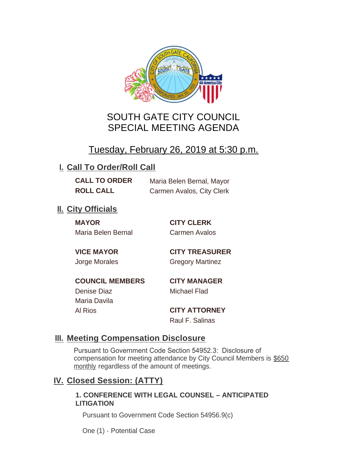

# SOUTH GATE CITY COUNCIL SPECIAL MEETING AGENDA

# Tuesday, February 26, 2019 at 5:30 p.m.

## **I. Call To Order/Roll Call**

**CALL TO ORDER** Maria Belen Bernal, Mayor **ROLL CALL** Carmen Avalos, City Clerk

## **II.** City Officials

**MAYOR CITY CLERK** Maria Belen Bernal Carmen Avalos

**VICE MAYOR CITY TREASURER** Jorge Morales Gregory Martinez

**COUNCIL MEMBERS CITY MANAGER** Denise Diaz Michael Flad

Maria Davila

Al Rios **CITY ATTORNEY** Raul F. Salinas

### **Meeting Compensation Disclosure III.**

Pursuant to Government Code Section 54952.3: Disclosure of compensation for meeting attendance by City Council Members is \$650 monthly regardless of the amount of meetings.

### **Closed Session: (ATTY) IV.**

#### **1. CONFERENCE WITH LEGAL COUNSEL – ANTICIPATED LITIGATION**

Pursuant to Government Code Section 54956.9(c)

One (1) - Potential Case